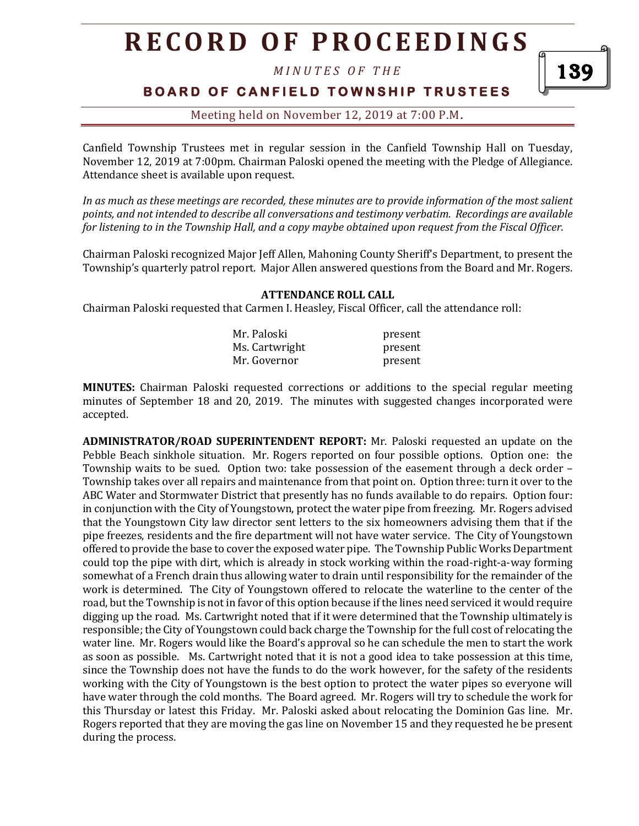*M I N U T E S O F T H E* 

# **BOARD OF CANFIELD TOWNSHIP TRUSTEES**

### Meeting held on November 12, 2019 at 7:00 P.M**.**

Canfield Township Trustees met in regular session in the Canfield Township Hall on Tuesday, November 12, 2019 at 7:00pm. Chairman Paloski opened the meeting with the Pledge of Allegiance. Attendance sheet is available upon request.

*In as much as these meetings are recorded, these minutes are to provide information of the most salient points, and not intended to describe all conversations and testimony verbatim. Recordings are available for listening to in the Township Hall, and a copy maybe obtained upon request from the Fiscal Officer.* 

Chairman Paloski recognized Major Jeff Allen, Mahoning County Sheriff's Department, to present the Township's quarterly patrol report. Major Allen answered questions from the Board and Mr. Rogers.

#### **ATTENDANCE ROLL CALL**

Chairman Paloski requested that Carmen I. Heasley, Fiscal Officer, call the attendance roll:

| Mr. Paloski    | present |
|----------------|---------|
| Ms. Cartwright | present |
| Mr. Governor   | present |

**MINUTES:** Chairman Paloski requested corrections or additions to the special regular meeting minutes of September 18 and 20, 2019. The minutes with suggested changes incorporated were accepted.

**ADMINISTRATOR/ROAD SUPERINTENDENT REPORT:** Mr. Paloski requested an update on the Pebble Beach sinkhole situation. Mr. Rogers reported on four possible options. Option one: the Township waits to be sued. Option two: take possession of the easement through a deck order – Township takes over all repairs and maintenance from that point on. Option three: turn it over to the ABC Water and Stormwater District that presently has no funds available to do repairs. Option four: in conjunction with the City of Youngstown, protect the water pipe from freezing. Mr. Rogers advised that the Youngstown City law director sent letters to the six homeowners advising them that if the pipe freezes, residents and the fire department will not have water service. The City of Youngstown offered to provide the base to cover the exposed water pipe. The Township Public Works Department could top the pipe with dirt, which is already in stock working within the road-right-a-way forming somewhat of a French drain thus allowing water to drain until responsibility for the remainder of the work is determined. The City of Youngstown offered to relocate the waterline to the center of the road, but the Township is not in favor of this option because if the lines need serviced it would require digging up the road. Ms. Cartwright noted that if it were determined that the Township ultimately is responsible; the City of Youngstown could back charge the Township for the full cost of relocating the water line. Mr. Rogers would like the Board's approval so he can schedule the men to start the work as soon as possible. Ms. Cartwright noted that it is not a good idea to take possession at this time, since the Township does not have the funds to do the work however, for the safety of the residents working with the City of Youngstown is the best option to protect the water pipes so everyone will have water through the cold months. The Board agreed. Mr. Rogers will try to schedule the work for this Thursday or latest this Friday. Mr. Paloski asked about relocating the Dominion Gas line. Mr. Rogers reported that they are moving the gas line on November 15 and they requested he be present during the process.

139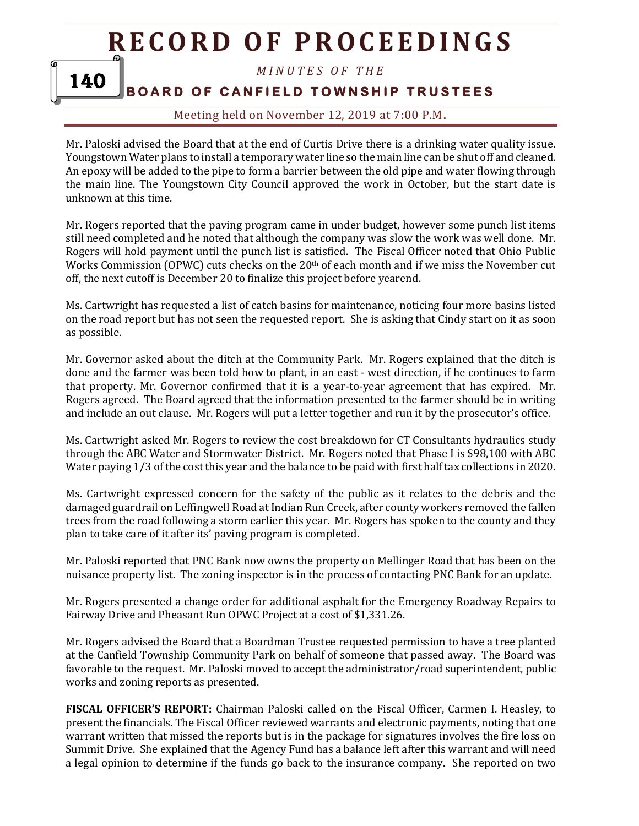*M I N U T E S O F T H E* 

# **BOARD OF CANFIELD TOWNSHIP TRUSTEES**

140

## Meeting held on November 12, 2019 at 7:00 P.M**.**

Mr. Paloski advised the Board that at the end of Curtis Drive there is a drinking water quality issue. Youngstown Water plans to install a temporary water line so the main line can be shut off and cleaned. An epoxy will be added to the pipe to form a barrier between the old pipe and water flowing through the main line. The Youngstown City Council approved the work in October, but the start date is unknown at this time.

Mr. Rogers reported that the paving program came in under budget, however some punch list items still need completed and he noted that although the company was slow the work was well done. Mr. Rogers will hold payment until the punch list is satisfied. The Fiscal Officer noted that Ohio Public Works Commission (OPWC) cuts checks on the 20th of each month and if we miss the November cut off, the next cutoff is December 20 to finalize this project before yearend.

Ms. Cartwright has requested a list of catch basins for maintenance, noticing four more basins listed on the road report but has not seen the requested report. She is asking that Cindy start on it as soon as possible.

Mr. Governor asked about the ditch at the Community Park. Mr. Rogers explained that the ditch is done and the farmer was been told how to plant, in an east - west direction, if he continues to farm that property. Mr. Governor confirmed that it is a year-to-year agreement that has expired. Mr. Rogers agreed. The Board agreed that the information presented to the farmer should be in writing and include an out clause. Mr. Rogers will put a letter together and run it by the prosecutor's office.

Ms. Cartwright asked Mr. Rogers to review the cost breakdown for CT Consultants hydraulics study through the ABC Water and Stormwater District. Mr. Rogers noted that Phase I is \$98,100 with ABC Water paying 1/3 of the cost this year and the balance to be paid with first half tax collections in 2020.

Ms. Cartwright expressed concern for the safety of the public as it relates to the debris and the damaged guardrail on Leffingwell Road at Indian Run Creek, after county workers removed the fallen trees from the road following a storm earlier this year. Mr. Rogers has spoken to the county and they plan to take care of it after its' paving program is completed.

Mr. Paloski reported that PNC Bank now owns the property on Mellinger Road that has been on the nuisance property list. The zoning inspector is in the process of contacting PNC Bank for an update.

Mr. Rogers presented a change order for additional asphalt for the Emergency Roadway Repairs to Fairway Drive and Pheasant Run OPWC Project at a cost of \$1,331.26.

Mr. Rogers advised the Board that a Boardman Trustee requested permission to have a tree planted at the Canfield Township Community Park on behalf of someone that passed away. The Board was favorable to the request. Mr. Paloski moved to accept the administrator/road superintendent, public works and zoning reports as presented.

**FISCAL OFFICER'S REPORT:** Chairman Paloski called on the Fiscal Officer, Carmen I. Heasley, to present the financials. The Fiscal Officer reviewed warrants and electronic payments, noting that one warrant written that missed the reports but is in the package for signatures involves the fire loss on Summit Drive. She explained that the Agency Fund has a balance left after this warrant and will need a legal opinion to determine if the funds go back to the insurance company. She reported on two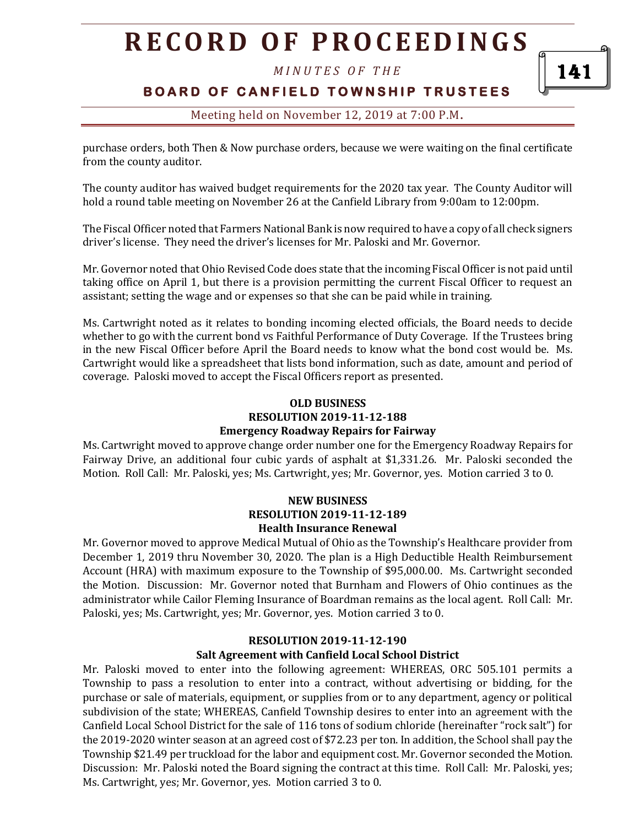*M I N U T E S O F T H E* 

141

**BOARD OF CANFIELD TOWNSHIP TRUSTEES** 

Meeting held on November 12, 2019 at 7:00 P.M**.**

purchase orders, both Then & Now purchase orders, because we were waiting on the final certificate from the county auditor.

The county auditor has waived budget requirements for the 2020 tax year. The County Auditor will hold a round table meeting on November 26 at the Canfield Library from 9:00am to 12:00pm.

The Fiscal Officer noted that Farmers National Bank is now required to have a copy of all check signers driver's license. They need the driver's licenses for Mr. Paloski and Mr. Governor.

Mr. Governor noted that Ohio Revised Code does state that the incoming Fiscal Officer is not paid until taking office on April 1, but there is a provision permitting the current Fiscal Officer to request an assistant; setting the wage and or expenses so that she can be paid while in training.

Ms. Cartwright noted as it relates to bonding incoming elected officials, the Board needs to decide whether to go with the current bond vs Faithful Performance of Duty Coverage. If the Trustees bring in the new Fiscal Officer before April the Board needs to know what the bond cost would be. Ms. Cartwright would like a spreadsheet that lists bond information, such as date, amount and period of coverage. Paloski moved to accept the Fiscal Officers report as presented.

#### **OLD BUSINESS RESOLUTION 2019-11-12-188 Emergency Roadway Repairs for Fairway**

Ms. Cartwright moved to approve change order number one for the Emergency Roadway Repairs for Fairway Drive, an additional four cubic yards of asphalt at \$1,331.26. Mr. Paloski seconded the Motion. Roll Call: Mr. Paloski, yes; Ms. Cartwright, yes; Mr. Governor, yes. Motion carried 3 to 0.

#### **NEW BUSINESS RESOLUTION 2019-11-12-189 Health Insurance Renewal**

Mr. Governor moved to approve Medical Mutual of Ohio as the Township's Healthcare provider from December 1, 2019 thru November 30, 2020. The plan is a High Deductible Health Reimbursement Account (HRA) with maximum exposure to the Township of \$95,000.00. Ms. Cartwright seconded the Motion. Discussion: Mr. Governor noted that Burnham and Flowers of Ohio continues as the administrator while Cailor Fleming Insurance of Boardman remains as the local agent. Roll Call: Mr. Paloski, yes; Ms. Cartwright, yes; Mr. Governor, yes. Motion carried 3 to 0.

#### **RESOLUTION 2019-11-12-190 Salt Agreement with Canfield Local School District**

Mr. Paloski moved to enter into the following agreement: WHEREAS, ORC 505.101 permits a Township to pass a resolution to enter into a contract, without advertising or bidding, for the purchase or sale of materials, equipment, or supplies from or to any department, agency or political subdivision of the state; WHEREAS, Canfield Township desires to enter into an agreement with the Canfield Local School District for the sale of 116 tons of sodium chloride (hereinafter "rock salt") for the 2019-2020 winter season at an agreed cost of \$72.23 per ton. In addition, the School shall pay the Township \$21.49 per truckload for the labor and equipment cost. Mr. Governor seconded the Motion. Discussion: Mr. Paloski noted the Board signing the contract at this time. Roll Call: Mr. Paloski, yes; Ms. Cartwright, yes; Mr. Governor, yes. Motion carried 3 to 0.